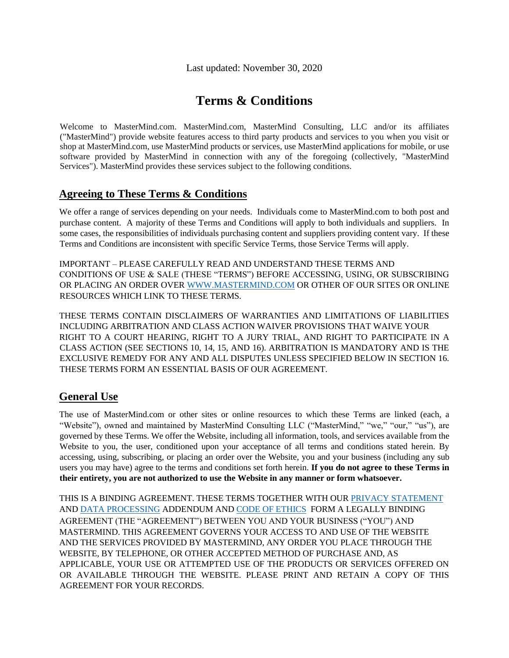# **Terms & Conditions**

Welcome to MasterMind.com. MasterMind.com, MasterMind Consulting, LLC and/or its affiliates ("MasterMind") provide website features access to third party products and services to you when you visit or shop at MasterMind.com, use MasterMind products or services, use MasterMind applications for mobile, or use software provided by MasterMind in connection with any of the foregoing (collectively, "MasterMind Services"). MasterMind provides these services subject to the following conditions.

#### **Agreeing to These Terms & Conditions**

We offer a range of services depending on your needs. Individuals come to MasterMind.com to both post and purchase content. A majority of these Terms and Conditions will apply to both individuals and suppliers. In some cases, the responsibilities of individuals purchasing content and suppliers providing content vary. If these Terms and Conditions are inconsistent with specific Service Terms, those Service Terms will apply.

IMPORTANT – PLEASE CAREFULLY READ AND UNDERSTAND THESE TERMS AND CONDITIONS OF USE & SALE (THESE "TERMS") BEFORE ACCESSING, USING, OR SUBSCRIBING OR PLACING AN ORDER OVER [WWW.MASTERMIND.COM](https://www.mastermind.com/) OR OTHER OF OUR SITES OR ONLINE RESOURCES WHICH LINK TO THESE TERMS.

THESE TERMS CONTAIN DISCLAIMERS OF WARRANTIES AND LIMITATIONS OF LIABILITIES INCLUDING ARBITRATION AND CLASS ACTION WAIVER PROVISIONS THAT WAIVE YOUR RIGHT TO A COURT HEARING, RIGHT TO A JURY TRIAL, AND RIGHT TO PARTICIPATE IN A CLASS ACTION (SEE SECTIONS 10, 14, 15, AND 16). ARBITRATION IS MANDATORY AND IS THE EXCLUSIVE REMEDY FOR ANY AND ALL DISPUTES UNLESS SPECIFIED BELOW IN SECTION 16. THESE TERMS FORM AN ESSENTIAL BASIS OF OUR AGREEMENT.

#### **General Use**

The use of MasterMind.com or other sites or online resources to which these Terms are linked (each, a "Website"), owned and maintained by MasterMind Consulting LLC ("MasterMind," "we," "our," "us"), are governed by these Terms. We offer the Website, including all information, tools, and services available from the Website to you, the user, conditioned upon your acceptance of all terms and conditions stated herein. By accessing, using, subscribing, or placing an order over the Website, you and your business (including any sub users you may have) agree to the terms and conditions set forth herein. **If you do not agree to these Terms in their entirety, you are not authorized to use the Website in any manner or form whatsoever.**

THIS IS A BINDING AGREEMENT. THESE TERMS TOGETHER WITH OUR [PRIVACY STATEMENT](https://app.mastermind.com/legal/privacy_statement) AN[D DATA PROCESSING](https://app.mastermind.com/legal/data_processing_addendum) ADDENDUM AND [CODE OF ETHICS](https://app.mastermind.com/legal/code_of_ethics) FORM A LEGALLY BINDING AGREEMENT (THE "AGREEMENT") BETWEEN YOU AND YOUR BUSINESS ("YOU") AND MASTERMIND. THIS AGREEMENT GOVERNS YOUR ACCESS TO AND USE OF THE WEBSITE AND THE SERVICES PROVIDED BY MASTERMIND, ANY ORDER YOU PLACE THROUGH THE WEBSITE, BY TELEPHONE, OR OTHER ACCEPTED METHOD OF PURCHASE AND, AS APPLICABLE, YOUR USE OR ATTEMPTED USE OF THE PRODUCTS OR SERVICES OFFERED ON OR AVAILABLE THROUGH THE WEBSITE. PLEASE PRINT AND RETAIN A COPY OF THIS AGREEMENT FOR YOUR RECORDS.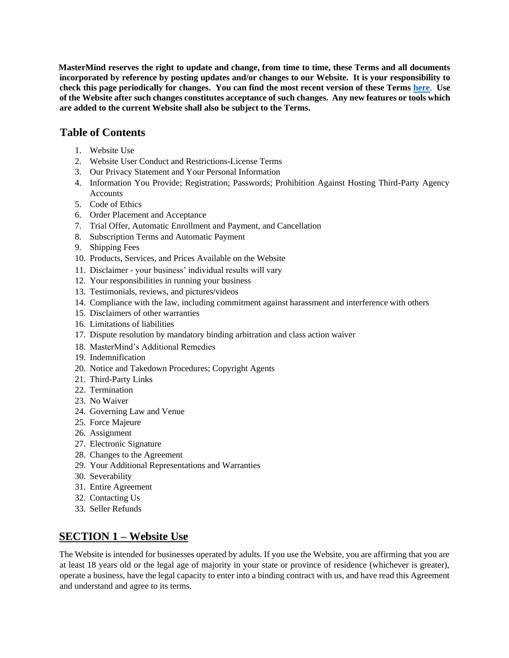**MasterMind reserves the right to update and change, from time to time, these Terms and all documents incorporated by reference by posting updates and/or changes to our Website. It is your responsibility to check this page periodically for changes. You can find the most recent version of these Terms [here](https://app.mastermind.com/legal/terms_of_service)**[.](https://app.mastermind.com/legal/terms_of_service) **Use of the Website after such changes constitutes acceptance of such changes. Any new features or tools which are added to the current Website shall also be subject to the Terms.**

#### **Table of Contents**

- 1. Website Use
- 2. Website User Conduct and Restrictions-License Terms
- 3. Our Privacy Statement and Your Personal Information
- 4. Information You Provide; Registration; Passwords; Prohibition Against Hosting Third-Party Agency Accounts
- 5. Code of Ethics
- 6. Order Placement and Acceptance
- 7. Trial Offer, Automatic Enrollment and Payment, and Cancellation
- 8. Subscription Terms and Automatic Payment
- 9. Shipping Fees
- 10. Products, Services, and Prices Available on the Website
- 11. Disclaimer your business' individual results will vary
- 12. Your responsibilities in running your business
- 13. Testimonials, reviews, and pictures/videos
- 14. Compliance with the law, including commitment against harassment and interference with others
- 15. Disclaimers of other warranties
- 16. Limitations of liabilities
- 17. Dispute resolution by mandatory binding arbitration and class action waiver
- 18. MasterMind's Additional Remedies
- 19. Indemnification
- 20. Notice and Takedown Procedures; Copyright Agents
- 21. Third-Party Links
- 22. Termination
- 23. No Waiver
- 24. Governing Law and Venue
- 25. Force Majeure
- 26. Assignment
- 27. Electronic Signature
- 28. Changes to the Agreement
- 29. Your Additional Representations and Warranties
- 30. Severability
- 31. Entire Agreement
- 32. Contacting Us
- 33. Seller Refunds

## **SECTION 1 – Website Use**

The Website is intended for businesses operated by adults. If you use the Website, you are affirming that you are at least 18 years old or the legal age of majority in your state or province of residence (whichever is greater), operate a business, have the legal capacity to enter into a binding contract with us, and have read this Agreement and understand and agree to its terms.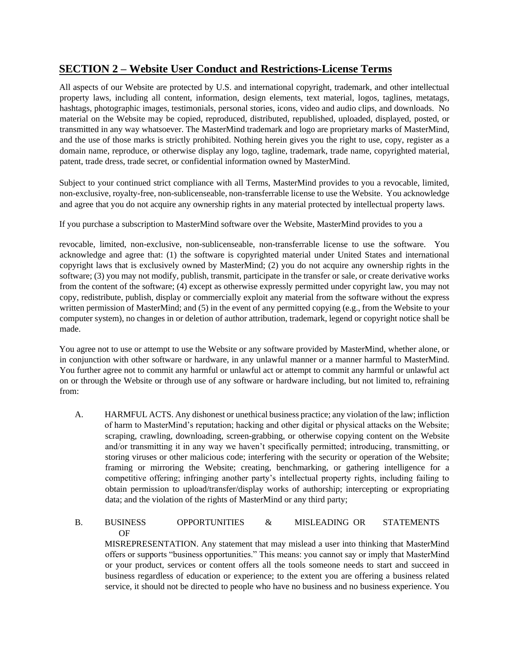#### **SECTION 2 – Website User Conduct and Restrictions-License Terms**

All aspects of our Website are protected by U.S. and international copyright, trademark, and other intellectual property laws, including all content, information, design elements, text material, logos, taglines, metatags, hashtags, photographic images, testimonials, personal stories, icons, video and audio clips, and downloads. No material on the Website may be copied, reproduced, distributed, republished, uploaded, displayed, posted, or transmitted in any way whatsoever. The MasterMind trademark and logo are proprietary marks of MasterMind, and the use of those marks is strictly prohibited. Nothing herein gives you the right to use, copy, register as a domain name, reproduce, or otherwise display any logo, tagline, trademark, trade name, copyrighted material, patent, trade dress, trade secret, or confidential information owned by MasterMind.

Subject to your continued strict compliance with all Terms, MasterMind provides to you a revocable, limited, non-exclusive, royalty-free, non-sublicenseable, non-transferrable license to use the Website. You acknowledge and agree that you do not acquire any ownership rights in any material protected by intellectual property laws.

If you purchase a subscription to MasterMind software over the Website, MasterMind provides to you a

revocable, limited, non-exclusive, non-sublicenseable, non-transferrable license to use the software. You acknowledge and agree that: (1) the software is copyrighted material under United States and international copyright laws that is exclusively owned by MasterMind; (2) you do not acquire any ownership rights in the software; (3) you may not modify, publish, transmit, participate in the transfer or sale, or create derivative works from the content of the software; (4) except as otherwise expressly permitted under copyright law, you may not copy, redistribute, publish, display or commercially exploit any material from the software without the express written permission of MasterMind; and (5) in the event of any permitted copying (e.g., from the Website to your computer system), no changes in or deletion of author attribution, trademark, legend or copyright notice shall be made.

You agree not to use or attempt to use the Website or any software provided by MasterMind, whether alone, or in conjunction with other software or hardware, in any unlawful manner or a manner harmful to MasterMind. You further agree not to commit any harmful or unlawful act or attempt to commit any harmful or unlawful act on or through the Website or through use of any software or hardware including, but not limited to, refraining from:

A. HARMFUL ACTS. Any dishonest or unethical business practice; any violation of the law; infliction of harm to MasterMind's reputation; hacking and other digital or physical attacks on the Website; scraping, crawling, downloading, screen-grabbing, or otherwise copying content on the Website and/or transmitting it in any way we haven't specifically permitted; introducing, transmitting, or storing viruses or other malicious code; interfering with the security or operation of the Website; framing or mirroring the Website; creating, benchmarking, or gathering intelligence for a competitive offering; infringing another party's intellectual property rights, including failing to obtain permission to upload/transfer/display works of authorship; intercepting or expropriating data; and the violation of the rights of MasterMind or any third party;

#### B. BUSINESS OPPORTUNITIES & MISLEADING OR STATEMENTS OF

MISREPRESENTATION. Any statement that may mislead a user into thinking that MasterMind offers or supports "business opportunities." This means: you cannot say or imply that MasterMind or your product, services or content offers all the tools someone needs to start and succeed in business regardless of education or experience; to the extent you are offering a business related service, it should not be directed to people who have no business and no business experience. You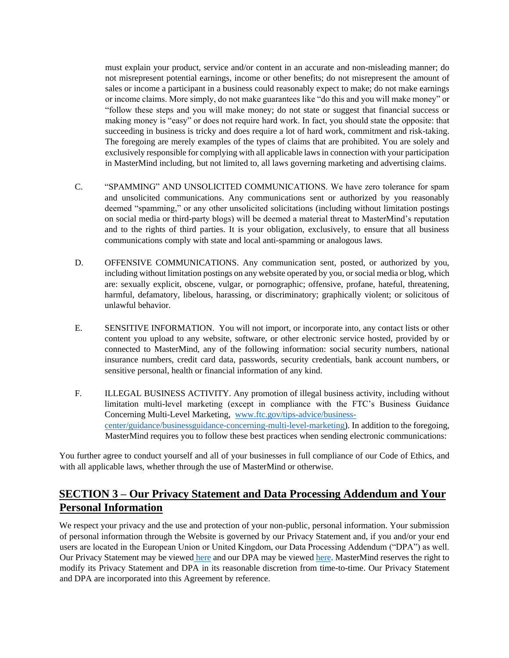must explain your product, service and/or content in an accurate and non-misleading manner; do not misrepresent potential earnings, income or other benefits; do not misrepresent the amount of sales or income a participant in a business could reasonably expect to make; do not make earnings or income claims. More simply, do not make guarantees like "do this and you will make money" or "follow these steps and you will make money; do not state or suggest that financial success or making money is "easy" or does not require hard work. In fact, you should state the opposite: that succeeding in business is tricky and does require a lot of hard work, commitment and risk-taking. The foregoing are merely examples of the types of claims that are prohibited. You are solely and exclusively responsible for complying with all applicable laws in connection with your participation in MasterMind including, but not limited to, all laws governing marketing and advertising claims.

- C. "SPAMMING" AND UNSOLICITED COMMUNICATIONS. We have zero tolerance for spam and unsolicited communications. Any communications sent or authorized by you reasonably deemed "spamming," or any other unsolicited solicitations (including without limitation postings on social media or third-party blogs) will be deemed a material threat to MasterMind's reputation and to the rights of third parties. It is your obligation, exclusively, to ensure that all business communications comply with state and local anti-spamming or analogous laws.
- D. OFFENSIVE COMMUNICATIONS. Any communication sent, posted, or authorized by you, including without limitation postings on any website operated by you, or social media or blog, which are: sexually explicit, obscene, vulgar, or pornographic; offensive, profane, hateful, threatening, harmful, defamatory, libelous, harassing, or discriminatory; graphically violent; or solicitous of unlawful behavior.
- E. SENSITIVE INFORMATION. You will not import, or incorporate into, any contact lists or other content you upload to any website, software, or other electronic service hosted, provided by or connected to MasterMind, any of the following information: social security numbers, national insurance numbers, credit card data, passwords, security credentials, bank account numbers, or sensitive personal, health or financial information of any kind.
- F. ILLEGAL BUSINESS ACTIVITY. Any promotion of illegal business activity, including without limitation multi-level marketing (except in compliance with the FTC's Business Guidance Concerning Multi-Level Marketing, www.ftc.gov/tips-advice/businesscenter/guidance/businessguidance-concerning-multi-level-marketing). In addition to the foregoing, MasterMind requires you to follow these best practices when sending electronic communications:

You further agree to conduct yourself and all of your businesses in full compliance of our Code of Ethics, and with all applicable laws, whether through the use of MasterMind or otherwise.

#### **SECTION 3 – Our Privacy Statement and Data Processing Addendum and Your Personal Information**

We respect your privacy and the use and protection of your non-public, personal information. Your submission of personal information through the Website is governed by our Privacy Statement and, if you and/or your end users are located in the European Union or United Kingdom, our Data Processing Addendum ("DPA") as well. Our Privacy Statement may be viewe[d](https://app.mastermind.com/legal/privacy_statement) [here](https://app.mastermind.com/legal/privacy_statement) [a](https://app.mastermind.com/legal/privacy_statement)nd our DPA may be view[ed here.](https://app.mastermind.com/legal/data_processing_addendum) MasterMind reserves the right to modify its Privacy Statement and DPA in its reasonable discretion from time-to-time. Our Privacy Statement and DPA are incorporated into this Agreement by reference.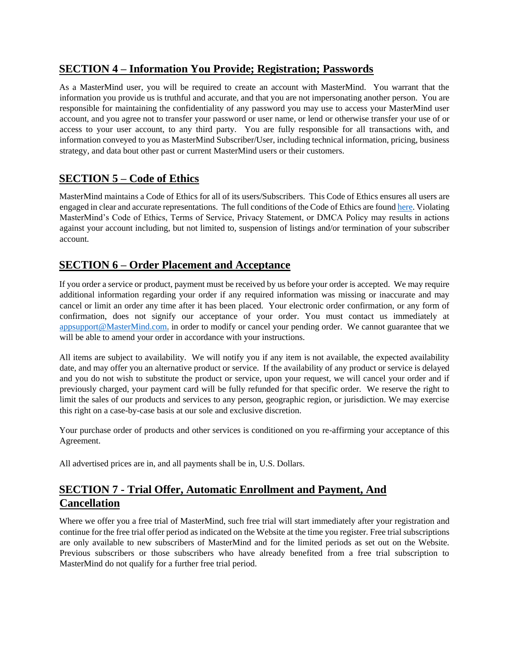#### **SECTION 4 – Information You Provide; Registration; Passwords**

As a MasterMind user, you will be required to create an account with MasterMind. You warrant that the information you provide us is truthful and accurate, and that you are not impersonating another person. You are responsible for maintaining the confidentiality of any password you may use to access your MasterMind user account, and you agree not to transfer your password or user name, or lend or otherwise transfer your use of or access to your user account, to any third party. You are fully responsible for all transactions with, and information conveyed to you as MasterMind Subscriber/User, including technical information, pricing, business strategy, and data bout other past or current MasterMind users or their customers.

#### **SECTION 5 – Code of Ethics**

MasterMind maintains a Code of Ethics for all of its users/Subscribers. This Code of Ethics ensures all users are engaged in clear and accurate representations. The full conditions of the Code of Ethics are foun[d here](https://app.mastermind.com/legal/code_of_ethics)[.](https://app.mastermind.com/legal/code_of_conduct) Violating MasterMind's Code of Ethics, Terms of Service, Privacy Statement, or DMCA Policy may results in actions against your account including, but not limited to, suspension of listings and/or termination of your subscriber account.

#### **SECTION 6 – Order Placement and Acceptance**

If you order a service or product, payment must be received by us before your order is accepted. We may require additional information regarding your order if any required information was missing or inaccurate and may cancel or limit an order any time after it has been placed. Your electronic order confirmation, or any form of confirmation, does not signify our acceptance of your order. You must contact us immediately at appsupport@MasterMind.com. in order to modify or cancel your pending order. We cannot guarantee that we will be able to amend your order in accordance with your instructions.

All items are subject to availability. We will notify you if any item is not available, the expected availability date, and may offer you an alternative product or service. If the availability of any product or service is delayed and you do not wish to substitute the product or service, upon your request, we will cancel your order and if previously charged, your payment card will be fully refunded for that specific order. We reserve the right to limit the sales of our products and services to any person, geographic region, or jurisdiction. We may exercise this right on a case-by-case basis at our sole and exclusive discretion.

Your purchase order of products and other services is conditioned on you re-affirming your acceptance of this Agreement.

All advertised prices are in, and all payments shall be in, U.S. Dollars.

## **SECTION 7 - Trial Offer, Automatic Enrollment and Payment, And Cancellation**

Where we offer you a free trial of MasterMind, such free trial will start immediately after your registration and continue for the free trial offer period as indicated on the Website at the time you register. Free trial subscriptions are only available to new subscribers of MasterMind and for the limited periods as set out on the Website. Previous subscribers or those subscribers who have already benefited from a free trial subscription to MasterMind do not qualify for a further free trial period.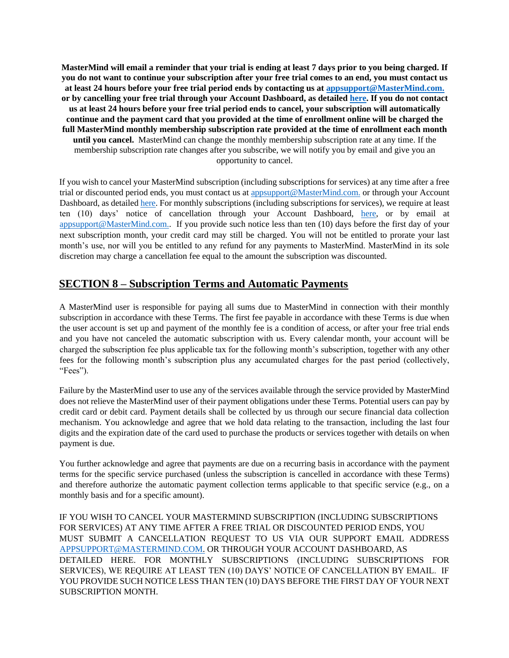**MasterMind will email a reminder that your trial is ending at least 7 days prior to you being charged. If you do not want to continue your subscription after your free trial comes to an end, you must contact us at least 24 hours before your free trial period ends by contacting us at appsupport@MasterMind.com. or by cancelling your free trial through your Account Dashboard, as detailed [here.](https://mastermind.com/) If you do not contact us at least 24 hours before your free trial period ends to cancel, your subscription will automatically continue and the payment card that you provided at the time of enrollment online will be charged the full MasterMind monthly membership subscription rate provided at the time of enrollment each month until you cancel.** MasterMind can change the monthly membership subscription rate at any time. If the membership subscription rate changes after you subscribe, we will notify you by email and give you an opportunity to cancel.

If you wish to cancel your MasterMind subscription (including subscriptions for services) at any time after a free trial or discounted period ends, you must contact us at appsupport@MasterMind.com. or through your Account Dashboard, as detailed here. For monthly subscriptions (including subscriptions for services), we require at least ten (10) days' notice of cancellation through your Account Dashboard, [here,](https://app.mastermind.com/) or by email at appsupport@MasterMind.com.. If you provide such notice less than ten (10) days before the first day of your next subscription month, your credit card may still be charged. You will not be entitled to prorate your last month's use, nor will you be entitled to any refund for any payments to MasterMind. MasterMind in its sole discretion may charge a cancellation fee equal to the amount the subscription was discounted.

#### **SECTION 8 – Subscription Terms and Automatic Payments**

A MasterMind user is responsible for paying all sums due to MasterMind in connection with their monthly subscription in accordance with these Terms. The first fee payable in accordance with these Terms is due when the user account is set up and payment of the monthly fee is a condition of access, or after your free trial ends and you have not canceled the automatic subscription with us. Every calendar month, your account will be charged the subscription fee plus applicable tax for the following month's subscription, together with any other fees for the following month's subscription plus any accumulated charges for the past period (collectively, "Fees").

Failure by the MasterMind user to use any of the services available through the service provided by MasterMind does not relieve the MasterMind user of their payment obligations under these Terms. Potential users can pay by credit card or debit card. Payment details shall be collected by us through our secure financial data collection mechanism. You acknowledge and agree that we hold data relating to the transaction, including the last four digits and the expiration date of the card used to purchase the products or services together with details on when payment is due.

You further acknowledge and agree that payments are due on a recurring basis in accordance with the payment terms for the specific service purchased (unless the subscription is cancelled in accordance with these Terms) and therefore authorize the automatic payment collection terms applicable to that specific service (e.g., on a monthly basis and for a specific amount).

IF YOU WISH TO CANCEL YOUR MASTERMIND SUBSCRIPTION (INCLUDING SUBSCRIPTIONS FOR SERVICES) AT ANY TIME AFTER A FREE TRIAL OR DISCOUNTED PERIOD ENDS, YOU MUST SUBMIT A CANCELLATION REQUEST TO US VIA OUR SUPPORT EMAIL ADDRESS APPSUPPORT@MASTERMIND.COM. OR THROUGH YOUR ACCOUNT DASHBOARD, AS DETAILED HERE. FOR MONTHLY SUBSCRIPTIONS (INCLUDING SUBSCRIPTIONS FOR SERVICES), WE REQUIRE AT LEAST TEN (10) DAYS' NOTICE OF CANCELLATION BY EMAIL. IF YOU PROVIDE SUCH NOTICE LESS THAN TEN (10) DAYS BEFORE THE FIRST DAY OF YOUR NEXT SUBSCRIPTION MONTH.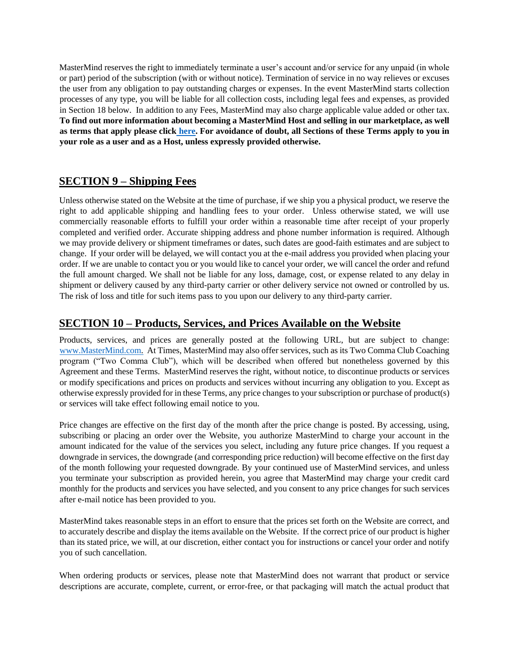MasterMind reserves the right to immediately terminate a user's account and/or service for any unpaid (in whole or part) period of the subscription (with or without notice). Termination of service in no way relieves or excuses the user from any obligation to pay outstanding charges or expenses. In the event MasterMind starts collection processes of any type, you will be liable for all collection costs, including legal fees and expenses, as provided in Section 18 below. In addition to any Fees, MasterMind may also charge applicable value added or other tax. **To find out more information about becoming a MasterMind Host and selling in our marketplace, as well as terms that apply please clic[k](https://app.mastermind.com/legal/terms_of_service) [here.](https://app.mastermind.com/legal/terms_of_service) For avoidance of doubt, all Sections of these Terms apply to you in your role as a user and as a Host, unless expressly provided otherwise.**

#### **SECTION 9 – Shipping Fees**

Unless otherwise stated on the Website at the time of purchase, if we ship you a physical product, we reserve the right to add applicable shipping and handling fees to your order. Unless otherwise stated, we will use commercially reasonable efforts to fulfill your order within a reasonable time after receipt of your properly completed and verified order. Accurate shipping address and phone number information is required. Although we may provide delivery or shipment timeframes or dates, such dates are good-faith estimates and are subject to change. If your order will be delayed, we will contact you at the e-mail address you provided when placing your order. If we are unable to contact you or you would like to cancel your order, we will cancel the order and refund the full amount charged. We shall not be liable for any loss, damage, cost, or expense related to any delay in shipment or delivery caused by any third-party carrier or other delivery service not owned or controlled by us. The risk of loss and title for such items pass to you upon our delivery to any third-party carrier.

#### **SECTION 10 – Products, Services, and Prices Available on the Website**

Products, services, and prices are generally posted at the following URL, but are subject to change: [www.MasterMind.com.](https://mastermind.com/) At Times, MasterMind may also offer services, such as its Two Comma Club Coaching program ("Two Comma Club"), which will be described when offered but nonetheless governed by this Agreement and these Terms. MasterMind reserves the right, without notice, to discontinue products or services or modify specifications and prices on products and services without incurring any obligation to you. Except as otherwise expressly provided for in these Terms, any price changes to your subscription or purchase of product(s) or services will take effect following email notice to you.

Price changes are effective on the first day of the month after the price change is posted. By accessing, using, subscribing or placing an order over the Website, you authorize MasterMind to charge your account in the amount indicated for the value of the services you select, including any future price changes. If you request a downgrade in services, the downgrade (and corresponding price reduction) will become effective on the first day of the month following your requested downgrade. By your continued use of MasterMind services, and unless you terminate your subscription as provided herein, you agree that MasterMind may charge your credit card monthly for the products and services you have selected, and you consent to any price changes for such services after e-mail notice has been provided to you.

MasterMind takes reasonable steps in an effort to ensure that the prices set forth on the Website are correct, and to accurately describe and display the items available on the Website. If the correct price of our product is higher than its stated price, we will, at our discretion, either contact you for instructions or cancel your order and notify you of such cancellation.

When ordering products or services, please note that MasterMind does not warrant that product or service descriptions are accurate, complete, current, or error-free, or that packaging will match the actual product that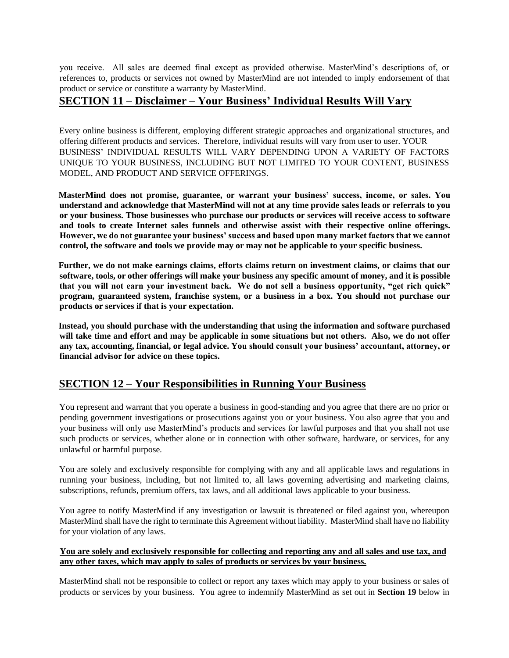you receive. All sales are deemed final except as provided otherwise. MasterMind's descriptions of, or references to, products or services not owned by MasterMind are not intended to imply endorsement of that product or service or constitute a warranty by MasterMind.

#### **SECTION 11 – Disclaimer – Your Business' Individual Results Will Vary**

Every online business is different, employing different strategic approaches and organizational structures, and offering different products and services. Therefore, individual results will vary from user to user. YOUR BUSINESS' INDIVIDUAL RESULTS WILL VARY DEPENDING UPON A VARIETY OF FACTORS UNIQUE TO YOUR BUSINESS, INCLUDING BUT NOT LIMITED TO YOUR CONTENT, BUSINESS MODEL, AND PRODUCT AND SERVICE OFFERINGS.

**MasterMind does not promise, guarantee, or warrant your business' success, income, or sales. You understand and acknowledge that MasterMind will not at any time provide sales leads or referrals to you or your business. Those businesses who purchase our products or services will receive access to software and tools to create Internet sales funnels and otherwise assist with their respective online offerings. However, we do not guarantee your business' success and based upon many market factors that we cannot control, the software and tools we provide may or may not be applicable to your specific business.** 

**Further, we do not make earnings claims, efforts claims return on investment claims, or claims that our software, tools, or other offerings will make your business any specific amount of money, and it is possible that you will not earn your investment back. We do not sell a business opportunity, "get rich quick" program, guaranteed system, franchise system, or a business in a box. You should not purchase our products or services if that is your expectation.** 

**Instead, you should purchase with the understanding that using the information and software purchased will take time and effort and may be applicable in some situations but not others. Also, we do not offer any tax, accounting, financial, or legal advice. You should consult your business' accountant, attorney, or financial advisor for advice on these topics.**

#### **SECTION 12 – Your Responsibilities in Running Your Business**

You represent and warrant that you operate a business in good-standing and you agree that there are no prior or pending government investigations or prosecutions against you or your business. You also agree that you and your business will only use MasterMind's products and services for lawful purposes and that you shall not use such products or services, whether alone or in connection with other software, hardware, or services, for any unlawful or harmful purpose.

You are solely and exclusively responsible for complying with any and all applicable laws and regulations in running your business, including, but not limited to, all laws governing advertising and marketing claims, subscriptions, refunds, premium offers, tax laws, and all additional laws applicable to your business.

You agree to notify MasterMind if any investigation or lawsuit is threatened or filed against you, whereupon MasterMind shall have the right to terminate this Agreement without liability. MasterMind shall have no liability for your violation of any laws.

#### **You are solely and exclusively responsible for collecting and reporting any and all sales and use tax, and any other taxes, which may apply to sales of products or services by your business.**

MasterMind shall not be responsible to collect or report any taxes which may apply to your business or sales of products or services by your business. You agree to indemnify MasterMind as set out in **Section 19** below in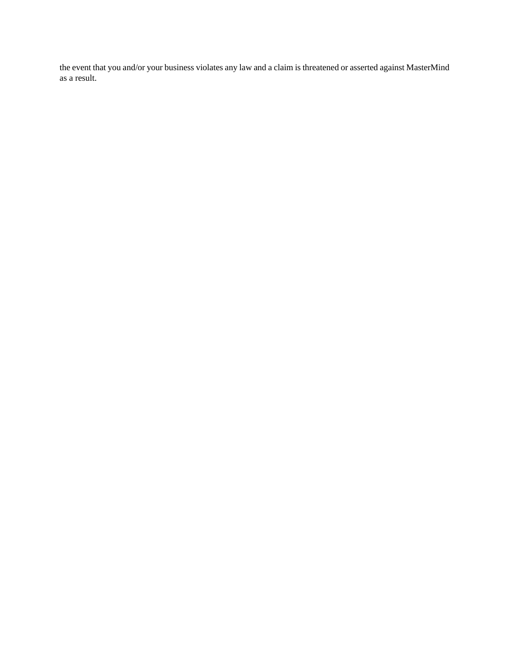the event that you and/or your business violates any law and a claim is threatened or asserted against MasterMind as a result.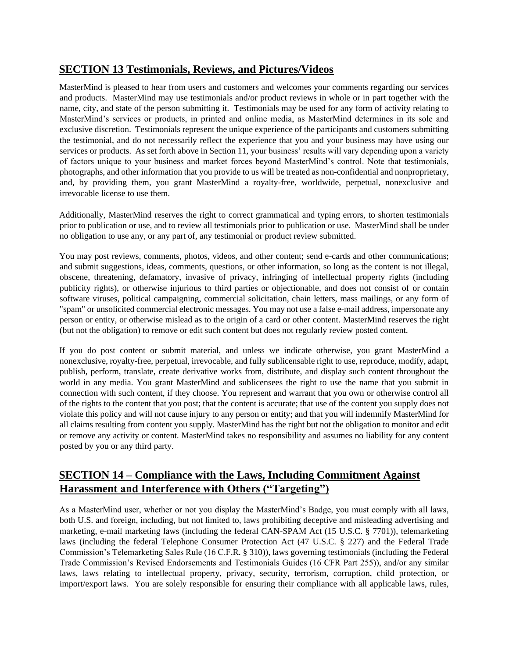#### **SECTION 13 Testimonials, Reviews, and Pictures/Videos**

MasterMind is pleased to hear from users and customers and welcomes your comments regarding our services and products. MasterMind may use testimonials and/or product reviews in whole or in part together with the name, city, and state of the person submitting it. Testimonials may be used for any form of activity relating to MasterMind's services or products, in printed and online media, as MasterMind determines in its sole and exclusive discretion. Testimonials represent the unique experience of the participants and customers submitting the testimonial, and do not necessarily reflect the experience that you and your business may have using our services or products. As set forth above in Section 11, your business' results will vary depending upon a variety of factors unique to your business and market forces beyond MasterMind's control. Note that testimonials, photographs, and other information that you provide to us will be treated as non-confidential and nonproprietary, and, by providing them, you grant MasterMind a royalty-free, worldwide, perpetual, nonexclusive and irrevocable license to use them.

Additionally, MasterMind reserves the right to correct grammatical and typing errors, to shorten testimonials prior to publication or use, and to review all testimonials prior to publication or use. MasterMind shall be under no obligation to use any, or any part of, any testimonial or product review submitted.

You may post reviews, comments, photos, videos, and other content; send e-cards and other communications; and submit suggestions, ideas, comments, questions, or other information, so long as the content is not illegal, obscene, threatening, defamatory, invasive of privacy, infringing of intellectual property rights (including publicity rights), or otherwise injurious to third parties or objectionable, and does not consist of or contain software viruses, political campaigning, commercial solicitation, chain letters, mass mailings, or any form of "spam" or unsolicited commercial electronic messages. You may not use a false e-mail address, impersonate any person or entity, or otherwise mislead as to the origin of a card or other content. MasterMind reserves the right (but not the obligation) to remove or edit such content but does not regularly review posted content.

If you do post content or submit material, and unless we indicate otherwise, you grant MasterMind a nonexclusive, royalty-free, perpetual, irrevocable, and fully sublicensable right to use, reproduce, modify, adapt, publish, perform, translate, create derivative works from, distribute, and display such content throughout the world in any media. You grant MasterMind and sublicensees the right to use the name that you submit in connection with such content, if they choose. You represent and warrant that you own or otherwise control all of the rights to the content that you post; that the content is accurate; that use of the content you supply does not violate this policy and will not cause injury to any person or entity; and that you will indemnify MasterMind for all claims resulting from content you supply. MasterMind has the right but not the obligation to monitor and edit or remove any activity or content. MasterMind takes no responsibility and assumes no liability for any content posted by you or any third party.

## **SECTION 14 – Compliance with the Laws, Including Commitment Against Harassment and Interference with Others ("Targeting")**

As a MasterMind user, whether or not you display the MasterMind's Badge, you must comply with all laws, both U.S. and foreign, including, but not limited to, laws prohibiting deceptive and misleading advertising and marketing, e-mail marketing laws (including the federal CAN-SPAM Act (15 U.S.C. § 7701)), telemarketing laws (including the federal Telephone Consumer Protection Act (47 U.S.C. § 227) and the Federal Trade Commission's Telemarketing Sales Rule (16 C.F.R. § 310)), laws governing testimonials (including the Federal Trade Commission's Revised Endorsements and Testimonials Guides (16 CFR Part 255)), and/or any similar laws, laws relating to intellectual property, privacy, security, terrorism, corruption, child protection, or import/export laws. You are solely responsible for ensuring their compliance with all applicable laws, rules,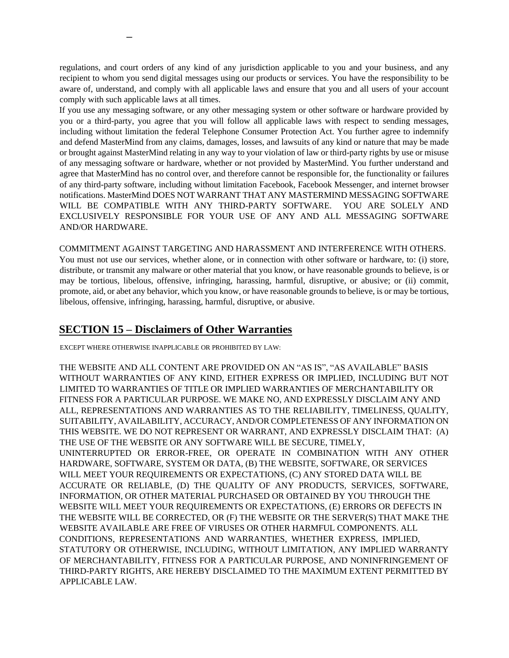regulations, and court orders of any kind of any jurisdiction applicable to you and your business, and any recipient to whom you send digital messages using our products or services. You have the responsibility to be aware of, understand, and comply with all applicable laws and ensure that you and all users of your account comply with such applicable laws at all times.

If you use any messaging software, or any other messaging system or other software or hardware provided by you or a third-party, you agree that you will follow all applicable laws with respect to sending messages, including without limitation the federal Telephone Consumer Protection Act. You further agree to indemnify and defend MasterMind from any claims, damages, losses, and lawsuits of any kind or nature that may be made or brought against MasterMind relating in any way to your violation of law or third-party rights by use or misuse of any messaging software or hardware, whether or not provided by MasterMind. You further understand and agree that MasterMind has no control over, and therefore cannot be responsible for, the functionality or failures of any third-party software, including without limitation Facebook, Facebook Messenger, and internet browser notifications. MasterMind DOES NOT WARRANT THAT ANY MASTERMIND MESSAGING SOFTWARE WILL BE COMPATIBLE WITH ANY THIRD-PARTY SOFTWARE. YOU ARE SOLELY AND EXCLUSIVELY RESPONSIBLE FOR YOUR USE OF ANY AND ALL MESSAGING SOFTWARE AND/OR HARDWARE.

COMMITMENT AGAINST TARGETING AND HARASSMENT AND INTERFERENCE WITH OTHERS.

You must not use our services, whether alone, or in connection with other software or hardware, to: (i) store, distribute, or transmit any malware or other material that you know, or have reasonable grounds to believe, is or may be tortious, libelous, offensive, infringing, harassing, harmful, disruptive, or abusive; or (ii) commit, promote, aid, or abet any behavior, which you know, or have reasonable grounds to believe, is or may be tortious, libelous, offensive, infringing, harassing, harmful, disruptive, or abusive.

#### **SECTION 15 – Disclaimers of Other Warranties**

EXCEPT WHERE OTHERWISE INAPPLICABLE OR PROHIBITED BY LAW:

**–**

THE WEBSITE AND ALL CONTENT ARE PROVIDED ON AN "AS IS", "AS AVAILABLE" BASIS WITHOUT WARRANTIES OF ANY KIND, EITHER EXPRESS OR IMPLIED, INCLUDING BUT NOT LIMITED TO WARRANTIES OF TITLE OR IMPLIED WARRANTIES OF MERCHANTABILITY OR FITNESS FOR A PARTICULAR PURPOSE. WE MAKE NO, AND EXPRESSLY DISCLAIM ANY AND ALL, REPRESENTATIONS AND WARRANTIES AS TO THE RELIABILITY, TIMELINESS, QUALITY, SUITABILITY, AVAILABILITY, ACCURACY, AND/OR COMPLETENESS OF ANY INFORMATION ON THIS WEBSITE. WE DO NOT REPRESENT OR WARRANT, AND EXPRESSLY DISCLAIM THAT: (A) THE USE OF THE WEBSITE OR ANY SOFTWARE WILL BE SECURE, TIMELY, UNINTERRUPTED OR ERROR-FREE, OR OPERATE IN COMBINATION WITH ANY OTHER HARDWARE, SOFTWARE, SYSTEM OR DATA, (B) THE WEBSITE, SOFTWARE, OR SERVICES WILL MEET YOUR REQUIREMENTS OR EXPECTATIONS, (C) ANY STORED DATA WILL BE ACCURATE OR RELIABLE, (D) THE QUALITY OF ANY PRODUCTS, SERVICES, SOFTWARE, INFORMATION, OR OTHER MATERIAL PURCHASED OR OBTAINED BY YOU THROUGH THE WEBSITE WILL MEET YOUR REQUIREMENTS OR EXPECTATIONS, (E) ERRORS OR DEFECTS IN THE WEBSITE WILL BE CORRECTED, OR (F) THE WEBSITE OR THE SERVER(S) THAT MAKE THE WEBSITE AVAILABLE ARE FREE OF VIRUSES OR OTHER HARMFUL COMPONENTS. ALL CONDITIONS, REPRESENTATIONS AND WARRANTIES, WHETHER EXPRESS, IMPLIED, STATUTORY OR OTHERWISE, INCLUDING, WITHOUT LIMITATION, ANY IMPLIED WARRANTY OF MERCHANTABILITY, FITNESS FOR A PARTICULAR PURPOSE, AND NONINFRINGEMENT OF THIRD-PARTY RIGHTS, ARE HEREBY DISCLAIMED TO THE MAXIMUM EXTENT PERMITTED BY APPLICABLE LAW.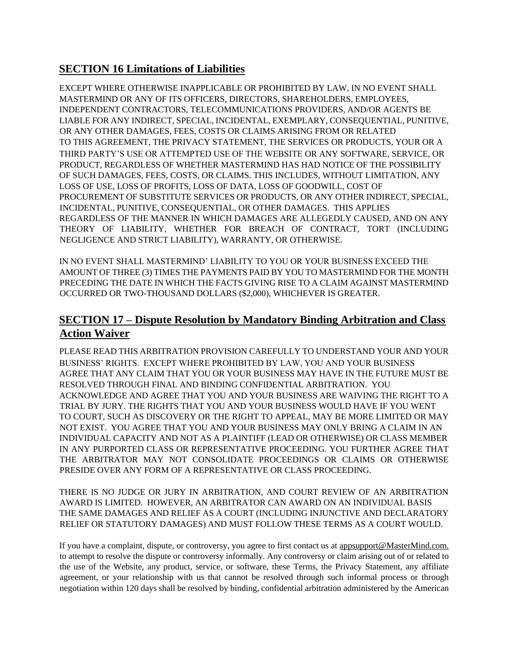#### **SECTION 16 Limitations of Liabilities**

EXCEPT WHERE OTHERWISE INAPPLICABLE OR PROHIBITED BY LAW, IN NO EVENT SHALL MASTERMIND OR ANY OF ITS OFFICERS, DIRECTORS, SHAREHOLDERS, EMPLOYEES, INDEPENDENT CONTRACTORS, TELECOMMUNICATIONS PROVIDERS, AND/OR AGENTS BE LIABLE FOR ANY INDIRECT, SPECIAL, INCIDENTAL, EXEMPLARY, CONSEQUENTIAL, PUNITIVE, OR ANY OTHER DAMAGES, FEES, COSTS OR CLAIMS ARISING FROM OR RELATED TO THIS AGREEMENT, THE PRIVACY STATEMENT, THE SERVICES OR PRODUCTS, YOUR OR A THIRD PARTY'S USE OR ATTEMPTED USE OF THE WEBSITE OR ANY SOFTWARE, SERVICE, OR PRODUCT, REGARDLESS OF WHETHER MASTERMIND HAS HAD NOTICE OF THE POSSIBILITY OF SUCH DAMAGES, FEES, COSTS, OR CLAIMS. THIS INCLUDES, WITHOUT LIMITATION, ANY LOSS OF USE, LOSS OF PROFITS, LOSS OF DATA, LOSS OF GOODWILL, COST OF PROCUREMENT OF SUBSTITUTE SERVICES OR PRODUCTS, OR ANY OTHER INDIRECT, SPECIAL, INCIDENTAL, PUNITIVE, CONSEQUENTIAL, OR OTHER DAMAGES. THIS APPLIES REGARDLESS OF THE MANNER IN WHICH DAMAGES ARE ALLEGEDLY CAUSED, AND ON ANY THEORY OF LIABILITY, WHETHER FOR BREACH OF CONTRACT, TORT (INCLUDING NEGLIGENCE AND STRICT LIABILITY), WARRANTY, OR OTHERWISE.

IN NO EVENT SHALL MASTERMIND' LIABILITY TO YOU OR YOUR BUSINESS EXCEED THE AMOUNT OF THREE (3) TIMES THE PAYMENTS PAID BY YOU TO MASTERMIND FOR THE MONTH PRECEDING THE DATE IN WHICH THE FACTS GIVING RISE TO A CLAIM AGAINST MASTERMIND OCCURRED OR TWO-THOUSAND DOLLARS (\$2,000), WHICHEVER IS GREATER.

## **SECTION 17 – Dispute Resolution by Mandatory Binding Arbitration and Class Action Waiver**

PLEASE READ THIS ARBITRATION PROVISION CAREFULLY TO UNDERSTAND YOUR AND YOUR BUSINESS' RIGHTS. EXCEPT WHERE PROHIBITED BY LAW, YOU AND YOUR BUSINESS AGREE THAT ANY CLAIM THAT YOU OR YOUR BUSINESS MAY HAVE IN THE FUTURE MUST BE RESOLVED THROUGH FINAL AND BINDING CONFIDENTIAL ARBITRATION. YOU ACKNOWLEDGE AND AGREE THAT YOU AND YOUR BUSINESS ARE WAIVING THE RIGHT TO A TRIAL BY JURY. THE RIGHTS THAT YOU AND YOUR BUSINESS WOULD HAVE IF YOU WENT TO COURT, SUCH AS DISCOVERY OR THE RIGHT TO APPEAL, MAY BE MORE LIMITED OR MAY NOT EXIST. YOU AGREE THAT YOU AND YOUR BUSINESS MAY ONLY BRING A CLAIM IN AN INDIVIDUAL CAPACITY AND NOT AS A PLAINTIFF (LEAD OR OTHERWISE) OR CLASS MEMBER IN ANY PURPORTED CLASS OR REPRESENTATIVE PROCEEDING. YOU FURTHER AGREE THAT THE ARBITRATOR MAY NOT CONSOLIDATE PROCEEDINGS OR CLAIMS OR OTHERWISE PRESIDE OVER ANY FORM OF A REPRESENTATIVE OR CLASS PROCEEDING.

THERE IS NO JUDGE OR JURY IN ARBITRATION, AND COURT REVIEW OF AN ARBITRATION AWARD IS LIMITED. HOWEVER, AN ARBITRATOR CAN AWARD ON AN INDIVIDUAL BASIS THE SAME DAMAGES AND RELIEF AS A COURT (INCLUDING INJUNCTIVE AND DECLARATORY RELIEF OR STATUTORY DAMAGES) AND MUST FOLLOW THESE TERMS AS A COURT WOULD.

If you have a complaint, dispute, or controversy, you agree to first contact us at appsupport@MasterMind.com. to attempt to resolve the dispute or controversy informally. Any controversy or claim arising out of or related to the use of the Website, any product, service, or software, these Terms, the Privacy Statement, any affiliate agreement, or your relationship with us that cannot be resolved through such informal process or through negotiation within 120 days shall be resolved by binding, confidential arbitration administered by the American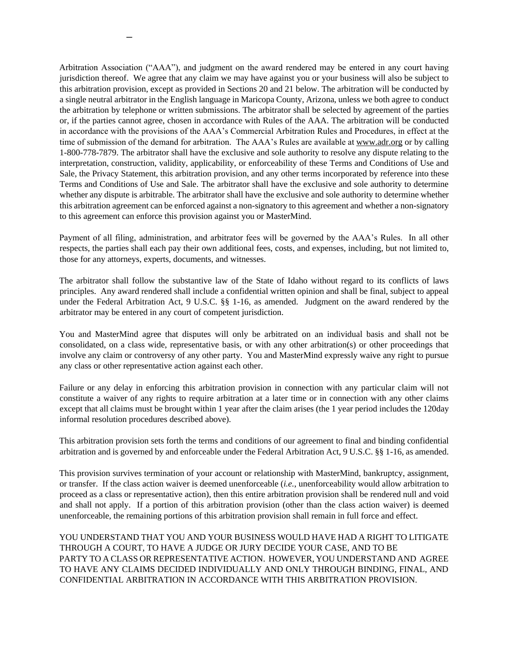Arbitration Association ("AAA"), and judgment on the award rendered may be entered in any court having jurisdiction thereof. We agree that any claim we may have against you or your business will also be subject to this arbitration provision, except as provided in Sections 20 and 21 below. The arbitration will be conducted by a single neutral arbitrator in the English language in Maricopa County, Arizona, unless we both agree to conduct the arbitration by telephone or written submissions. The arbitrator shall be selected by agreement of the parties or, if the parties cannot agree, chosen in accordance with Rules of the AAA. The arbitration will be conducted in accordance with the provisions of the AAA's Commercial Arbitration Rules and Procedures, in effect at the time of submission of the demand for arbitration. The AAA's Rules are available at www.adr.org or by calling 1-800-778-7879. The arbitrator shall have the exclusive and sole authority to resolve any dispute relating to the interpretation, construction, validity, applicability, or enforceability of these Terms and Conditions of Use and Sale, the Privacy Statement, this arbitration provision, and any other terms incorporated by reference into these Terms and Conditions of Use and Sale. The arbitrator shall have the exclusive and sole authority to determine whether any dispute is arbitrable. The arbitrator shall have the exclusive and sole authority to determine whether this arbitration agreement can be enforced against a non-signatory to this agreement and whether a non-signatory to this agreement can enforce this provision against you or MasterMind.

**–**

Payment of all filing, administration, and arbitrator fees will be governed by the AAA's Rules. In all other respects, the parties shall each pay their own additional fees, costs, and expenses, including, but not limited to, those for any attorneys, experts, documents, and witnesses.

The arbitrator shall follow the substantive law of the State of Idaho without regard to its conflicts of laws principles. Any award rendered shall include a confidential written opinion and shall be final, subject to appeal under the Federal Arbitration Act, 9 U.S.C. §§ 1-16, as amended. Judgment on the award rendered by the arbitrator may be entered in any court of competent jurisdiction.

You and MasterMind agree that disputes will only be arbitrated on an individual basis and shall not be consolidated, on a class wide, representative basis, or with any other arbitration(s) or other proceedings that involve any claim or controversy of any other party. You and MasterMind expressly waive any right to pursue any class or other representative action against each other.

Failure or any delay in enforcing this arbitration provision in connection with any particular claim will not constitute a waiver of any rights to require arbitration at a later time or in connection with any other claims except that all claims must be brought within 1 year after the claim arises (the 1 year period includes the 120day informal resolution procedures described above).

This arbitration provision sets forth the terms and conditions of our agreement to final and binding confidential arbitration and is governed by and enforceable under the Federal Arbitration Act, 9 U.S.C. §§ 1-16, as amended.

This provision survives termination of your account or relationship with MasterMind, bankruptcy, assignment, or transfer. If the class action waiver is deemed unenforceable (*i.e.*, unenforceability would allow arbitration to proceed as a class or representative action), then this entire arbitration provision shall be rendered null and void and shall not apply. If a portion of this arbitration provision (other than the class action waiver) is deemed unenforceable, the remaining portions of this arbitration provision shall remain in full force and effect.

YOU UNDERSTAND THAT YOU AND YOUR BUSINESS WOULD HAVE HAD A RIGHT TO LITIGATE THROUGH A COURT, TO HAVE A JUDGE OR JURY DECIDE YOUR CASE, AND TO BE PARTY TO A CLASS OR REPRESENTATIVE ACTION. HOWEVER, YOU UNDERSTAND AND AGREE TO HAVE ANY CLAIMS DECIDED INDIVIDUALLY AND ONLY THROUGH BINDING, FINAL, AND CONFIDENTIAL ARBITRATION IN ACCORDANCE WITH THIS ARBITRATION PROVISION.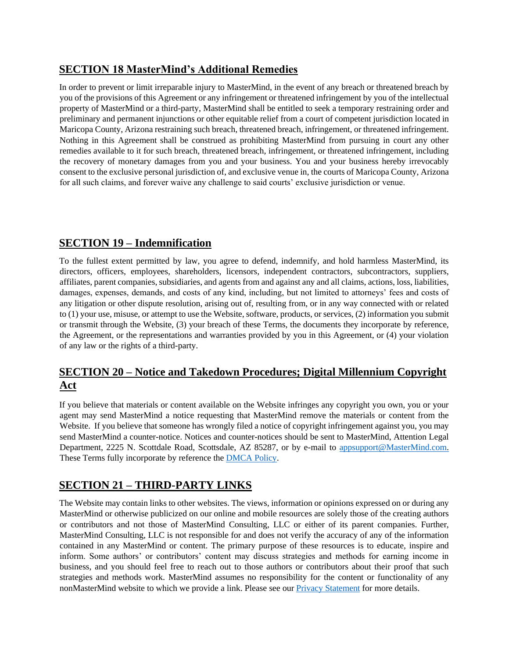#### **SECTION 18 MasterMind's Additional Remedies**

In order to prevent or limit irreparable injury to MasterMind, in the event of any breach or threatened breach by you of the provisions of this Agreement or any infringement or threatened infringement by you of the intellectual property of MasterMind or a third-party, MasterMind shall be entitled to seek a temporary restraining order and preliminary and permanent injunctions or other equitable relief from a court of competent jurisdiction located in Maricopa County, Arizona restraining such breach, threatened breach, infringement, or threatened infringement. Nothing in this Agreement shall be construed as prohibiting MasterMind from pursuing in court any other remedies available to it for such breach, threatened breach, infringement, or threatened infringement, including the recovery of monetary damages from you and your business. You and your business hereby irrevocably consent to the exclusive personal jurisdiction of, and exclusive venue in, the courts of Maricopa County, Arizona for all such claims, and forever waive any challenge to said courts' exclusive jurisdiction or venue.

## **SECTION 19 – Indemnification**

To the fullest extent permitted by law, you agree to defend, indemnify, and hold harmless MasterMind, its directors, officers, employees, shareholders, licensors, independent contractors, subcontractors, suppliers, affiliates, parent companies, subsidiaries, and agents from and against any and all claims, actions, loss, liabilities, damages, expenses, demands, and costs of any kind, including, but not limited to attorneys' fees and costs of any litigation or other dispute resolution, arising out of, resulting from, or in any way connected with or related to (1) your use, misuse, or attempt to use the Website, software, products, or services, (2) information you submit or transmit through the Website, (3) your breach of these Terms, the documents they incorporate by reference, the Agreement, or the representations and warranties provided by you in this Agreement, or (4) your violation of any law or the rights of a third-party.

## **SECTION 20 – Notice and Takedown Procedures; Digital Millennium Copyright Act**

If you believe that materials or content available on the Website infringes any copyright you own, you or your agent may send MasterMind a notice requesting that MasterMind remove the materials or content from the Website. If you believe that someone has wrongly filed a notice of copyright infringement against you, you may send MasterMind a counter-notice. Notices and counter-notices should be sent to MasterMind, Attention Legal Department, 2225 N. Scottdale Road, Scottsdale, AZ 85287, or by e-mail to appsupport@MasterMind.com. These Terms fully incorporate by reference the [DMCA Policy.](https://app.mastermind.com/legal/dmca_policy) 

## **SECTION 21 – THIRD-PARTY LINKS**

The Website may contain links to other websites. The views, information or opinions expressed on or during any MasterMind or otherwise publicized on our online and mobile resources are solely those of the creating authors or contributors and not those of MasterMind Consulting, LLC or either of its parent companies. Further, MasterMind Consulting, LLC is not responsible for and does not verify the accuracy of any of the information contained in any MasterMind or content. The primary purpose of these resources is to educate, inspire and inform. Some authors' or contributors' content may discuss strategies and methods for earning income in business, and you should feel free to reach out to those authors or contributors about their proof that such strategies and methods work. MasterMind assumes no responsibility for the content or functionality of any nonMasterMind website to which we provide a link. Please see our [Privacy Statement](https://app.mastermind.com/legal/privacy_statement) [f](https://app.mastermind.com/legal/privacy_statement)or more details.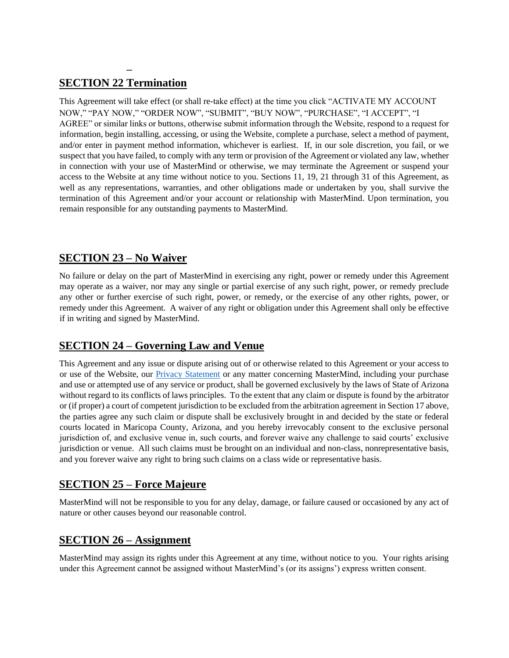#### **– SECTION 22 Termination**

This Agreement will take effect (or shall re-take effect) at the time you click "ACTIVATE MY ACCOUNT NOW," "PAY NOW," "ORDER NOW", "SUBMIT", "BUY NOW", "PURCHASE", "I ACCEPT", "I AGREE" or similar links or buttons, otherwise submit information through the Website, respond to a request for information, begin installing, accessing, or using the Website, complete a purchase, select a method of payment, and/or enter in payment method information, whichever is earliest. If, in our sole discretion, you fail, or we suspect that you have failed, to comply with any term or provision of the Agreement or violated any law, whether in connection with your use of MasterMind or otherwise, we may terminate the Agreement or suspend your access to the Website at any time without notice to you. Sections 11, 19, 21 through 31 of this Agreement, as well as any representations, warranties, and other obligations made or undertaken by you, shall survive the termination of this Agreement and/or your account or relationship with MasterMind. Upon termination, you remain responsible for any outstanding payments to MasterMind.

#### **SECTION 23 – No Waiver**

No failure or delay on the part of MasterMind in exercising any right, power or remedy under this Agreement may operate as a waiver, nor may any single or partial exercise of any such right, power, or remedy preclude any other or further exercise of such right, power, or remedy, or the exercise of any other rights, power, or remedy under this Agreement. A waiver of any right or obligation under this Agreement shall only be effective if in writing and signed by MasterMind.

## **SECTION 24 – Governing Law and Venue**

This Agreement and any issue or dispute arising out of or otherwise related to this Agreement or your access to or use of the Website, our **Privacy Statement** or any matter concerning MasterMind, including your purchase and use or attempted use of any service or product, shall be governed exclusively by the laws of State of Arizona without regard to its conflicts of laws principles. To the extent that any claim or dispute is found by the arbitrator or (if proper) a court of competent jurisdiction to be excluded from the arbitration agreement in Section 17 above, the parties agree any such claim or dispute shall be exclusively brought in and decided by the state or federal courts located in Maricopa County, Arizona, and you hereby irrevocably consent to the exclusive personal jurisdiction of, and exclusive venue in, such courts, and forever waive any challenge to said courts' exclusive jurisdiction or venue. All such claims must be brought on an individual and non-class, nonrepresentative basis, and you forever waive any right to bring such claims on a class wide or representative basis.

## **SECTION 25 – Force Majeure**

MasterMind will not be responsible to you for any delay, damage, or failure caused or occasioned by any act of nature or other causes beyond our reasonable control.

#### **SECTION 26 – Assignment**

MasterMind may assign its rights under this Agreement at any time, without notice to you. Your rights arising under this Agreement cannot be assigned without MasterMind's (or its assigns') express written consent.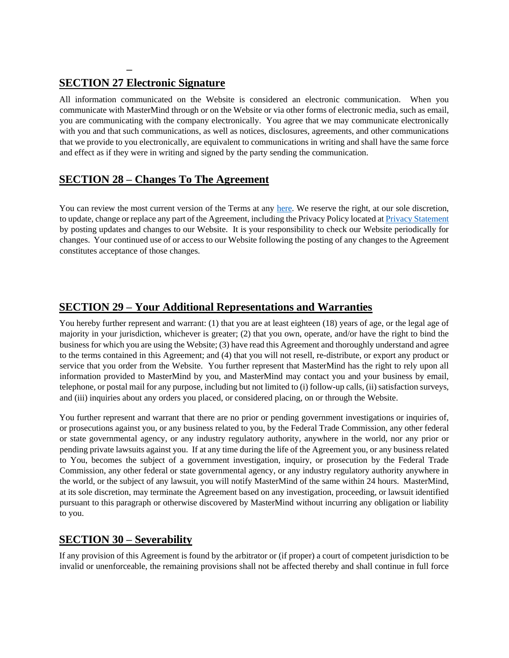## **SECTION 27 Electronic Signature**

**–**

All information communicated on the Website is considered an electronic communication. When you communicate with MasterMind through or on the Website or via other forms of electronic media, such as email, you are communicating with the company electronically. You agree that we may communicate electronically with you and that such communications, as well as notices, disclosures, agreements, and other communications that we provide to you electronically, are equivalent to communications in writing and shall have the same force and effect as if they were in writing and signed by the party sending the communication.

#### **SECTION 28 – Changes To The Agreement**

You can review the most current version of the Terms at any [here.](https://app.mastermind.com/legal/terms_of_service) We reserve the right, at our sole discretion, to update, change or replace any part of the Agreement, including the Privacy Policy located [at Privacy Statement](https://app.mastermind.com/legal/privacy_statement) by posting updates and changes to our Website. It is your responsibility to check our Website periodically for changes. Your continued use of or access to our Website following the posting of any changes to the Agreement constitutes acceptance of those changes.

#### **SECTION 29 – Your Additional Representations and Warranties**

You hereby further represent and warrant: (1) that you are at least eighteen (18) years of age, or the legal age of majority in your jurisdiction, whichever is greater; (2) that you own, operate, and/or have the right to bind the business for which you are using the Website; (3) have read this Agreement and thoroughly understand and agree to the terms contained in this Agreement; and (4) that you will not resell, re-distribute, or export any product or service that you order from the Website. You further represent that MasterMind has the right to rely upon all information provided to MasterMind by you, and MasterMind may contact you and your business by email, telephone, or postal mail for any purpose, including but not limited to (i) follow-up calls, (ii) satisfaction surveys, and (iii) inquiries about any orders you placed, or considered placing, on or through the Website.

You further represent and warrant that there are no prior or pending government investigations or inquiries of, or prosecutions against you, or any business related to you, by the Federal Trade Commission, any other federal or state governmental agency, or any industry regulatory authority, anywhere in the world, nor any prior or pending private lawsuits against you. If at any time during the life of the Agreement you, or any business related to You, becomes the subject of a government investigation, inquiry, or prosecution by the Federal Trade Commission, any other federal or state governmental agency, or any industry regulatory authority anywhere in the world, or the subject of any lawsuit, you will notify MasterMind of the same within 24 hours. MasterMind, at its sole discretion, may terminate the Agreement based on any investigation, proceeding, or lawsuit identified pursuant to this paragraph or otherwise discovered by MasterMind without incurring any obligation or liability to you.

#### **SECTION 30 – Severability**

If any provision of this Agreement is found by the arbitrator or (if proper) a court of competent jurisdiction to be invalid or unenforceable, the remaining provisions shall not be affected thereby and shall continue in full force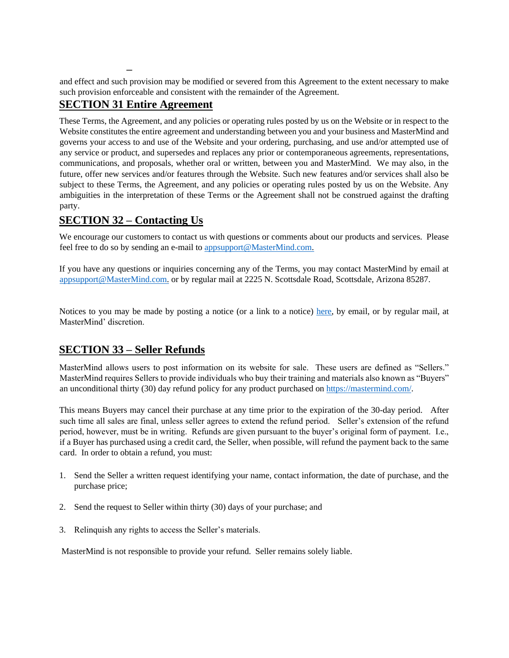and effect and such provision may be modified or severed from this Agreement to the extent necessary to make such provision enforceable and consistent with the remainder of the Agreement.

## **SECTION 31 Entire Agreement**

**–**

These Terms, the Agreement, and any policies or operating rules posted by us on the Website or in respect to the Website constitutes the entire agreement and understanding between you and your business and MasterMind and governs your access to and use of the Website and your ordering, purchasing, and use and/or attempted use of any service or product, and supersedes and replaces any prior or contemporaneous agreements, representations, communications, and proposals, whether oral or written, between you and MasterMind. We may also, in the future, offer new services and/or features through the Website. Such new features and/or services shall also be subject to these Terms, the Agreement, and any policies or operating rules posted by us on the Website. Any ambiguities in the interpretation of these Terms or the Agreement shall not be construed against the drafting party.

#### **SECTION 32 – Contacting Us**

We encourage our customers to contact us with questions or comments about our products and services. Please feel free to do so by sending an e-mail to appsupport@MasterMind.com.

If you have any questions or inquiries concerning any of the Terms, you may contact MasterMind by email at appsupport@MasterMind.com. or by regular mail at 2225 N. Scottsdale Road, Scottsdale, Arizona 85287.

Notices to you may be made by posting a notice (or a link to a notice) [here,](https://mastermind.com/) by email, or by regular mail, at MasterMind' discretion.

#### **SECTION 33 – Seller Refunds**

MasterMind allows users to post information on its website for sale. These users are defined as "Sellers." MasterMind requires Sellers to provide individuals who buy their training and materials also known as "Buyers" an unconditional thirty (30) day refund policy for any product purchased o[n https://mastermind.com/.](https://mastermind.com/) 

This means Buyers may cancel their purchase at any time prior to the expiration of the 30-day period. After such time all sales are final, unless seller agrees to extend the refund period. Seller's extension of the refund period, however, must be in writing. Refunds are given pursuant to the buyer's original form of payment. I.e., if a Buyer has purchased using a credit card, the Seller, when possible, will refund the payment back to the same card. In order to obtain a refund, you must:

- 1. Send the Seller a written request identifying your name, contact information, the date of purchase, and the purchase price;
- 2. Send the request to Seller within thirty (30) days of your purchase; and
- 3. Relinquish any rights to access the Seller's materials.

MasterMind is not responsible to provide your refund. Seller remains solely liable.